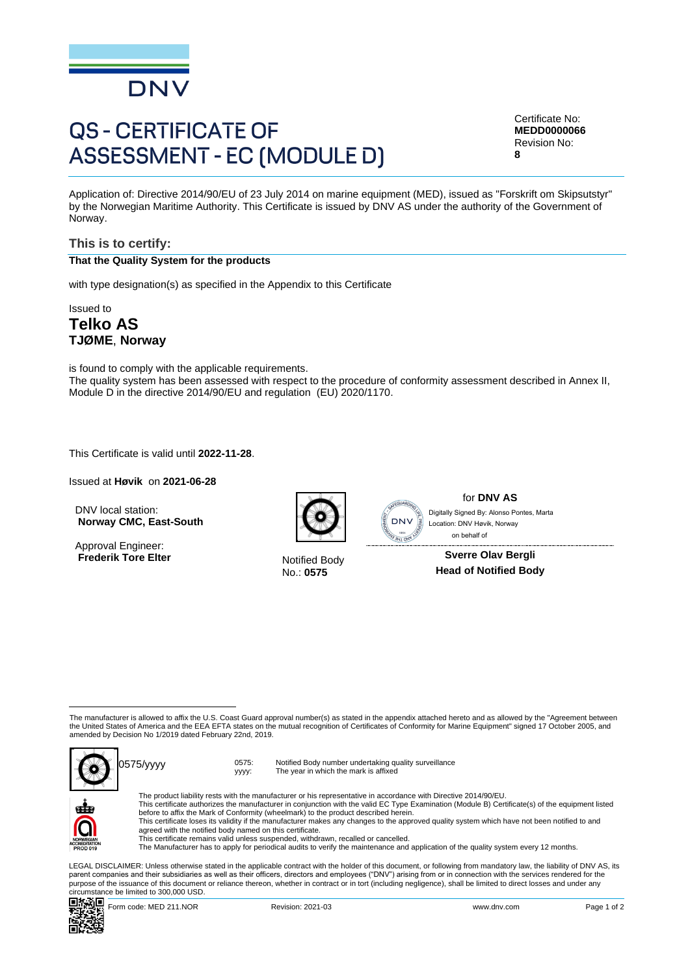

# **QS - CERTIFICATE OF ASSESSMENT - EC (MODULE D)**

Certificate No: **MEDD0000066** Revision No: **8**

Application of: Directive 2014/90/EU of 23 July 2014 on marine equipment (MED), issued as "Forskrift om Skipsutstyr" by the Norwegian Maritime Authority. This Certificate is issued by DNV AS under the authority of the Government of Norway.

## **This is to certify:**

**That the Quality System for the products**

with type designation(s) as specified in the Appendix to this Certificate

Issued to **Telko AS TJØME**, **Norway**

is found to comply with the applicable requirements. The quality system has been assessed with respect to the procedure of conformity assessment described in Annex II, Module D in the directive 2014/90/EU and regulation (EU) 2020/1170.

This Certificate is valid until **2022-11-28**.

Issued at **Høvik** on **2021-06-28**

DNV local station: **Norway CMC, East-South**

Approval Engineer: **Frederik Tore Elter** Notified Body



No.: **0575**



for **DNV AS** Location: DNV Høvik, Norway on behalf of

**Sverre Olav Bergli Head of Notified Body**

The manufacturer is allowed to affix the U.S. Coast Guard approval number(s) as stated in the appendix attached hereto and as allowed by the "Agreement between the United States of America and the EEA EFTA states on the mutual recognition of Certificates of Conformity for Marine Equipment" signed 17 October 2005, and amended by Decision No 1/2019 dated February 22nd, 2019.



yyyy: Notified Body number undertaking quality surveillance The year in which the mark is affixed



The product liability rests with the manufacturer or his representative in accordance with Directive 2014/90/EU.<br>This certificate authorizes the manufacturer in conjunction with the valid EC Type Examination (Module B) Cer This certificate loses its validity if the manufacturer makes any changes to the approved quality system which have not been notified to and agreed with the notified body named on this certificate. Control State South Martin Control and the Control of the Control of the Control of the Southern State State Control of the Control of the Control of the Control of the Control of the Control of the Control of the USD. Con

This certificate remains valid unless suspended, withdrawn, recalled or cancelled.

The Manufacturer has to apply for periodical audits to verify the maintenance and application of the quality system every 12 months.

LEGAL DISCLAIMER: Unless otherwise stated in the applicable contract with the holder of this document, or following from mandatory law, the liability of DNV AS, its<br>parent companies and their subsidiaries as well as their purpose of the issuance of this document or reliance thereon, whether in contract or in tort (including negligence), shall be limited to direct losses and under any<br>circumstance be limited to 300,000 USD.